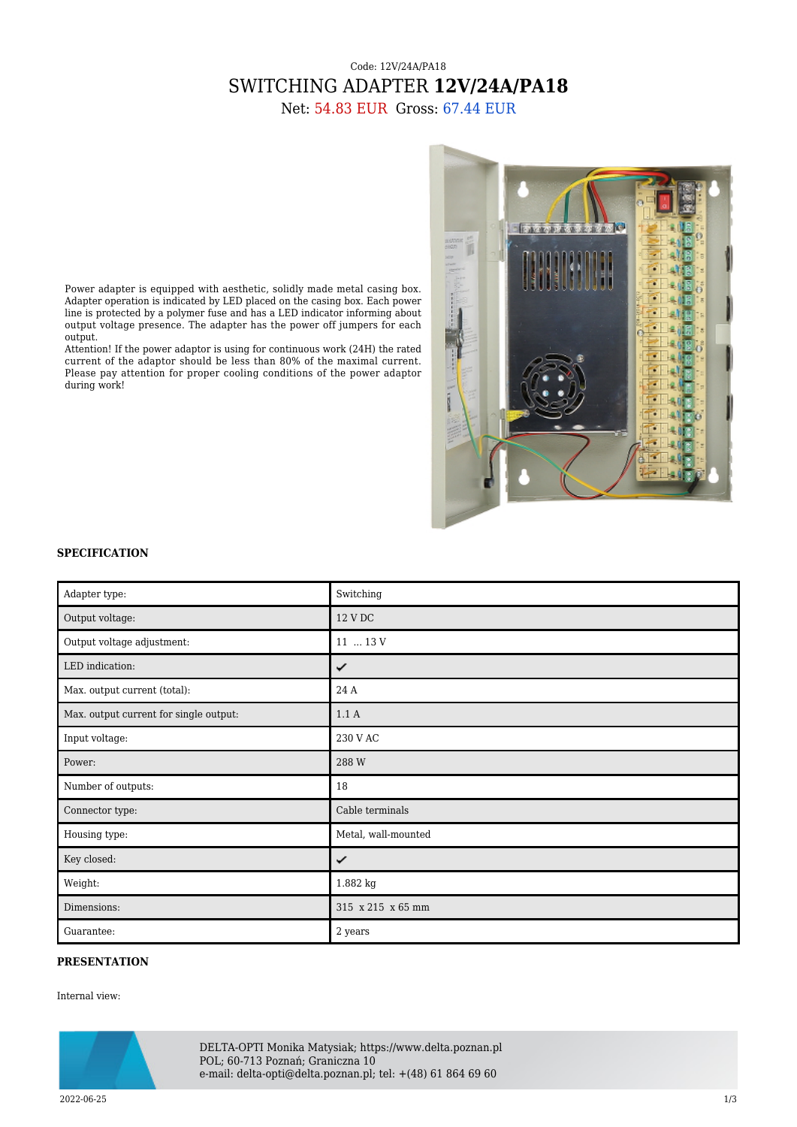## Code: 12V/24A/PA18 SWITCHING ADAPTER **12V/24A/PA18**

Net: 54.83 EUR Gross: 67.44 EUR



Power adapter is equipped with aesthetic, solidly made metal casing box. Adapter operation is indicated by LED placed on the casing box. Each power line is protected by a polymer fuse and has a LED indicator informing about output voltage presence. The adapter has the power off jumpers for each output.

Attention! If the power adaptor is using for continuous work (24H) the rated current of the adaptor should be less than 80% of the maximal current. Please pay attention for proper cooling conditions of the power adaptor during work!

## **SPECIFICATION**

| Adapter type:                          | Switching           |
|----------------------------------------|---------------------|
| Output voltage:                        | 12 V DC             |
| Output voltage adjustment:             | 11  13 V            |
| LED indication:                        | ✓                   |
| Max. output current (total):           | 24 A                |
| Max. output current for single output: | 1.1A                |
| Input voltage:                         | 230 V AC            |
| Power:                                 | 288 W               |
| Number of outputs:                     | 18                  |
| Connector type:                        | Cable terminals     |
| Housing type:                          | Metal, wall-mounted |
| Key closed:                            | ✓                   |
| Weight:                                | 1.882 kg            |
| Dimensions:                            | 315 x 215 x 65 mm   |
| Guarantee:                             | 2 years             |

## **PRESENTATION**

Internal view:



DELTA-OPTI Monika Matysiak; https://www.delta.poznan.pl POL; 60-713 Poznań; Graniczna 10 e-mail: delta-opti@delta.poznan.pl; tel: +(48) 61 864 69 60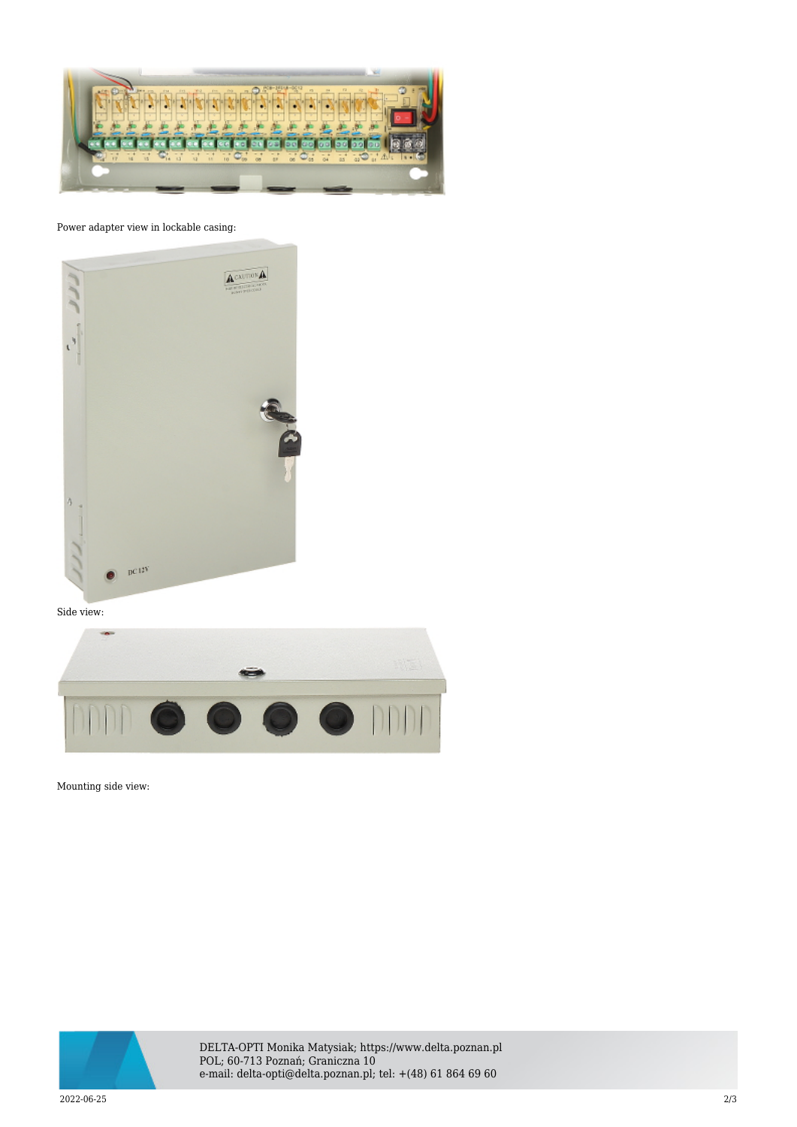

Power adapter view in lockable casing:



Side view:



Mounting side view:



DELTA-OPTI Monika Matysiak; https://www.delta.poznan.pl POL; 60-713 Poznań; Graniczna 10 e-mail: delta-opti@delta.poznan.pl; tel: +(48) 61 864 69 60

2022-06-25 2/3